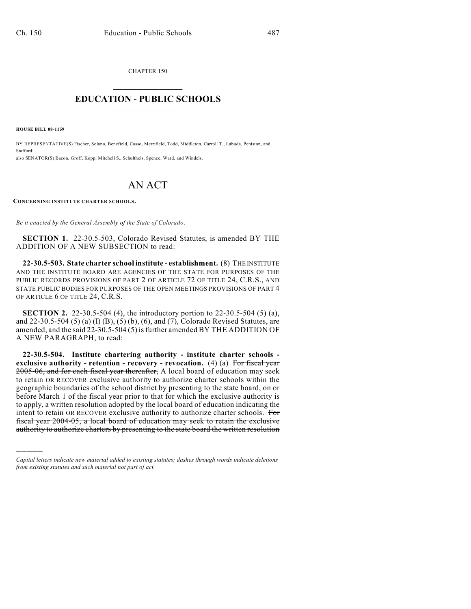CHAPTER 150

## $\mathcal{L}_\text{max}$  . The set of the set of the set of the set of the set of the set of the set of the set of the set of the set of the set of the set of the set of the set of the set of the set of the set of the set of the set **EDUCATION - PUBLIC SCHOOLS**  $\_$   $\_$   $\_$   $\_$   $\_$   $\_$   $\_$   $\_$   $\_$

**HOUSE BILL 08-1159**

)))))

BY REPRESENTATIVE(S) Fischer, Solano, Benefield, Casso, Merrifield, Todd, Middleton, Carroll T., Labuda, Peniston, and Stafford; also SENATOR(S) Bacon, Groff, Kopp, Mitchell S., Schultheis, Spence, Ward, and Windels.

## AN ACT

**CONCERNING INSTITUTE CHARTER SCHOOLS.**

*Be it enacted by the General Assembly of the State of Colorado:*

**SECTION 1.** 22-30.5-503, Colorado Revised Statutes, is amended BY THE ADDITION OF A NEW SUBSECTION to read:

**22-30.5-503. State charter school institute - establishment.** (8) THE INSTITUTE AND THE INSTITUTE BOARD ARE AGENCIES OF THE STATE FOR PURPOSES OF THE PUBLIC RECORDS PROVISIONS OF PART 2 OF ARTICLE 72 OF TITLE 24, C.R.S., AND STATE PUBLIC BODIES FOR PURPOSES OF THE OPEN MEETINGS PROVISIONS OF PART 4 OF ARTICLE 6 OF TITLE 24, C.R.S.

**SECTION 2.** 22-30.5-504 (4), the introductory portion to 22-30.5-504 (5) (a), and 22-30.5-504 (5) (a) (I) (B), (5) (b), (6), and (7), Colorado Revised Statutes, are amended, and the said 22-30.5-504 (5) is further amended BY THE ADDITION OF A NEW PARAGRAPH, to read:

**22-30.5-504. Institute chartering authority - institute charter schools exclusive authority - retention - recovery - revocation.** (4) (a) For fiscal year 2005-06, and for each fiscal year thereafter, A local board of education may seek to retain OR RECOVER exclusive authority to authorize charter schools within the geographic boundaries of the school district by presenting to the state board, on or before March 1 of the fiscal year prior to that for which the exclusive authority is to apply, a written resolution adopted by the local board of education indicating the intent to retain OR RECOVER exclusive authority to authorize charter schools. For fiscal year 2004-05, a local board of education may seek to retain the exclusive authority to authorize charters by presenting to the state board the written resolution

*Capital letters indicate new material added to existing statutes; dashes through words indicate deletions from existing statutes and such material not part of act.*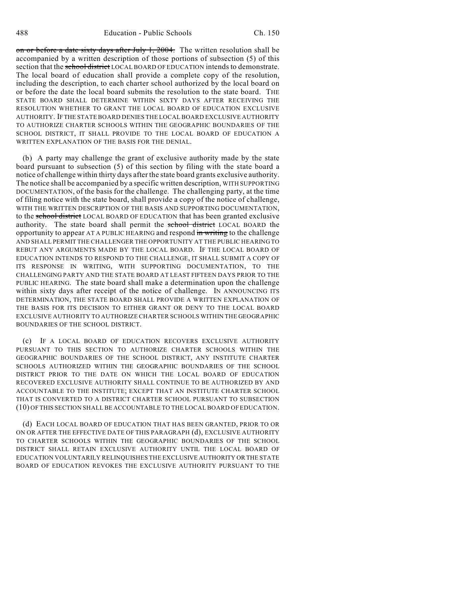on or before a date sixty days after July  $1, 2004$ . The written resolution shall be accompanied by a written description of those portions of subsection (5) of this section that the school district LOCAL BOARD OF EDUCATION intends to demonstrate. The local board of education shall provide a complete copy of the resolution, including the description, to each charter school authorized by the local board on or before the date the local board submits the resolution to the state board. THE STATE BOARD SHALL DETERMINE WITHIN SIXTY DAYS AFTER RECEIVING THE RESOLUTION WHETHER TO GRANT THE LOCAL BOARD OF EDUCATION EXCLUSIVE AUTHORITY. IF THE STATE BOARD DENIES THE LOCAL BOARD EXCLUSIVE AUTHORITY TO AUTHORIZE CHARTER SCHOOLS WITHIN THE GEOGRAPHIC BOUNDARIES OF THE SCHOOL DISTRICT, IT SHALL PROVIDE TO THE LOCAL BOARD OF EDUCATION A WRITTEN EXPLANATION OF THE BASIS FOR THE DENIAL.

(b) A party may challenge the grant of exclusive authority made by the state board pursuant to subsection (5) of this section by filing with the state board a notice of challenge within thirty days after the state board grants exclusive authority. The notice shall be accompanied by a specific written description, WITH SUPPORTING DOCUMENTATION, of the basis for the challenge. The challenging party, at the time of filing notice with the state board, shall provide a copy of the notice of challenge, WITH THE WRITTEN DESCRIPTION OF THE BASIS AND SUPPORTING DOCUMENTATION, to the school district LOCAL BOARD OF EDUCATION that has been granted exclusive authority. The state board shall permit the school district LOCAL BOARD the opportunity to appear AT A PUBLIC HEARING and respond in writing to the challenge AND SHALL PERMIT THE CHALLENGER THE OPPORTUNITY AT THE PUBLIC HEARING TO REBUT ANY ARGUMENTS MADE BY THE LOCAL BOARD. IF THE LOCAL BOARD OF EDUCATION INTENDS TO RESPOND TO THE CHALLENGE, IT SHALL SUBMIT A COPY OF ITS RESPONSE IN WRITING, WITH SUPPORTING DOCUMENTATION, TO THE CHALLENGING PARTY AND THE STATE BOARD AT LEAST FIFTEEN DAYS PRIOR TO THE PUBLIC HEARING. The state board shall make a determination upon the challenge within sixty days after receipt of the notice of challenge. IN ANNOUNCING ITS DETERMINATION, THE STATE BOARD SHALL PROVIDE A WRITTEN EXPLANATION OF THE BASIS FOR ITS DECISION TO EITHER GRANT OR DENY TO THE LOCAL BOARD EXCLUSIVE AUTHORITY TO AUTHORIZE CHARTER SCHOOLS WITHIN THE GEOGRAPHIC BOUNDARIES OF THE SCHOOL DISTRICT.

(c) IF A LOCAL BOARD OF EDUCATION RECOVERS EXCLUSIVE AUTHORITY PURSUANT TO THIS SECTION TO AUTHORIZE CHARTER SCHOOLS WITHIN THE GEOGRAPHIC BOUNDARIES OF THE SCHOOL DISTRICT, ANY INSTITUTE CHARTER SCHOOLS AUTHORIZED WITHIN THE GEOGRAPHIC BOUNDARIES OF THE SCHOOL DISTRICT PRIOR TO THE DATE ON WHICH THE LOCAL BOARD OF EDUCATION RECOVERED EXCLUSIVE AUTHORITY SHALL CONTINUE TO BE AUTHORIZED BY AND ACCOUNTABLE TO THE INSTITUTE; EXCEPT THAT AN INSTITUTE CHARTER SCHOOL THAT IS CONVERTED TO A DISTRICT CHARTER SCHOOL PURSUANT TO SUBSECTION (10) OF THIS SECTION SHALL BE ACCOUNTABLE TO THE LOCAL BOARD OF EDUCATION.

(d) EACH LOCAL BOARD OF EDUCATION THAT HAS BEEN GRANTED, PRIOR TO OR ON OR AFTER THE EFFECTIVE DATE OF THIS PARAGRAPH (d), EXCLUSIVE AUTHORITY TO CHARTER SCHOOLS WITHIN THE GEOGRAPHIC BOUNDARIES OF THE SCHOOL DISTRICT SHALL RETAIN EXCLUSIVE AUTHORITY UNTIL THE LOCAL BOARD OF EDUCATION VOLUNTARILY RELINQUISHES THE EXCLUSIVE AUTHORITY OR THE STATE BOARD OF EDUCATION REVOKES THE EXCLUSIVE AUTHORITY PURSUANT TO THE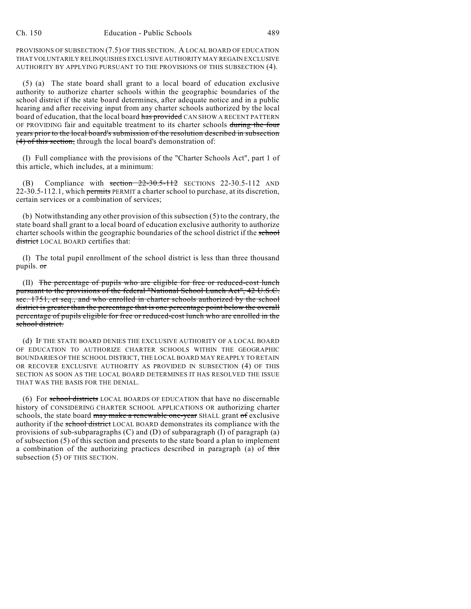PROVISIONS OF SUBSECTION (7.5) OF THIS SECTION. A LOCAL BOARD OF EDUCATION THAT VOLUNTARILY RELINQUISHES EXCLUSIVE AUTHORITY MAY REGAIN EXCLUSIVE AUTHORITY BY APPLYING PURSUANT TO THE PROVISIONS OF THIS SUBSECTION (4).

(5) (a) The state board shall grant to a local board of education exclusive authority to authorize charter schools within the geographic boundaries of the school district if the state board determines, after adequate notice and in a public hearing and after receiving input from any charter schools authorized by the local board of education, that the local board has provided CAN SHOW A RECENT PATTERN OF PROVIDING fair and equitable treatment to its charter schools during the four years prior to the local board's submission of the resolution described in subsection (4) of this section, through the local board's demonstration of:

(I) Full compliance with the provisions of the "Charter Schools Act", part 1 of this article, which includes, at a minimum:

(B) Compliance with section  $22-30.5-112$  SECTIONS 22-30.5-112 AND 22-30.5-112.1, which permits PERMIT a charter school to purchase, at its discretion, certain services or a combination of services;

(b) Notwithstanding any other provision of this subsection (5) to the contrary, the state board shall grant to a local board of education exclusive authority to authorize charter schools within the geographic boundaries of the school district if the school district LOCAL BOARD certifies that:

(I) The total pupil enrollment of the school district is less than three thousand pupils. or

(II) The percentage of pupils who are eligible for free or reduced-cost lunch pursuant to the provisions of the federal "National School Lunch Act", 42 U.S.C. sec. 1751, et seq., and who enrolled in charter schools authorized by the school district is greater than the percentage that is one percentage point below the overall percentage of pupils eligible for free or reduced-cost lunch who are enrolled in the school district.

(d) IF THE STATE BOARD DENIES THE EXCLUSIVE AUTHORITY OF A LOCAL BOARD OF EDUCATION TO AUTHORIZE CHARTER SCHOOLS WITHIN THE GEOGRAPHIC BOUNDARIES OF THE SCHOOL DISTRICT, THE LOCAL BOARD MAY REAPPLY TO RETAIN OR RECOVER EXCLUSIVE AUTHORITY AS PROVIDED IN SUBSECTION (4) OF THIS SECTION AS SOON AS THE LOCAL BOARD DETERMINES IT HAS RESOLVED THE ISSUE THAT WAS THE BASIS FOR THE DENIAL.

(6) For school districts LOCAL BOARDS OF EDUCATION that have no discernable history of CONSIDERING CHARTER SCHOOL APPLICATIONS OR authorizing charter schools, the state board may make a renewable one-year SHALL grant of exclusive authority if the school district LOCAL BOARD demonstrates its compliance with the provisions of sub-subparagraphs  $(C)$  and  $(D)$  of subparagraph  $(I)$  of paragraph  $(a)$ of subsection (5) of this section and presents to the state board a plan to implement a combination of the authorizing practices described in paragraph (a) of this subsection (5) OF THIS SECTION.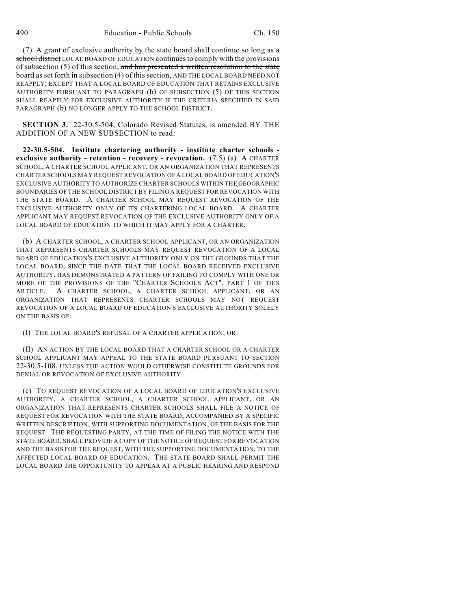(7) A grant of exclusive authority by the state board shall continue so long as a school district LOCAL BOARD OF EDUCATION continues to comply with the provisions of subsection (5) of this section, and has presented a written resolution to the state board as set forth in subsection (4) of this section, AND THE LOCAL BOARD NEED NOT REAPPLY; EXCEPT THAT A LOCAL BOARD OF EDUCATION THAT RETAINS EXCLUSIVE AUTHORITY PURSUANT TO PARAGRAPH (b) OF SUBSECTION (5) OF THIS SECTION SHALL REAPPLY FOR EXCLUSIVE AUTHORITY IF THE CRITERIA SPECIFIED IN SAID PARAGRAPH (b) NO LONGER APPLY TO THE SCHOOL DISTRICT.

**SECTION 3.** 22-30.5-504, Colorado Revised Statutes, is amended BY THE ADDITION OF A NEW SUBSECTION to read:

**22-30.5-504. Institute chartering authority - institute charter schools exclusive authority - retention - recovery - revocation.** (7.5) (a) A CHARTER SCHOOL, A CHARTER SCHOOL APPLICANT, OR AN ORGANIZATION THAT REPRESENTS CHARTER SCHOOLS MAY REQUEST REVOCATION OF A LOCAL BOARD OF EDUCATION'S EXCLUSIVE AUTHORITY TO AUTHORIZE CHARTER SCHOOLS WITHIN THE GEOGRAPHIC BOUNDARIES OF THE SCHOOL DISTRICT BY FILING A REQUEST FOR REVOCATION WITH THE STATE BOARD. A CHARTER SCHOOL MAY REQUEST REVOCATION OF THE EXCLUSIVE AUTHORITY ONLY OF ITS CHARTERING LOCAL BOARD. A CHARTER APPLICANT MAY REQUEST REVOCATION OF THE EXCLUSIVE AUTHORITY ONLY OF A LOCAL BOARD OF EDUCATION TO WHICH IT MAY APPLY FOR A CHARTER.

(b) A CHARTER SCHOOL, A CHARTER SCHOOL APPLICANT, OR AN ORGANIZATION THAT REPRESENTS CHARTER SCHOOLS MAY REQUEST REVOCATION OF A LOCAL BOARD OF EDUCATION'S EXCLUSIVE AUTHORITY ONLY ON THE GROUNDS THAT THE LOCAL BOARD, SINCE THE DATE THAT THE LOCAL BOARD RECEIVED EXCLUSIVE AUTHORITY, HAS DEMONSTRATED A PATTERN OF FAILING TO COMPLY WITH ONE OR MORE OF THE PROVISIONS OF THE "CHARTER SCHOOLS ACT", PART 1 OF THIS ARTICLE. A CHARTER SCHOOL, A CHARTER SCHOOL APPLICANT, OR AN ORGANIZATION THAT REPRESENTS CHARTER SCHOOLS MAY NOT REQUEST REVOCATION OF A LOCAL BOARD OF EDUCATION'S EXCLUSIVE AUTHORITY SOLELY ON THE BASIS OF:

## (I) THE LOCAL BOARD'S REFUSAL OF A CHARTER APPLICATION; OR

(II) AN ACTION BY THE LOCAL BOARD THAT A CHARTER SCHOOL OR A CHARTER SCHOOL APPLICANT MAY APPEAL TO THE STATE BOARD PURSUANT TO SECTION 22-30.5-108, UNLESS THE ACTION WOULD OTHERWISE CONSTITUTE GROUNDS FOR DENIAL OR REVOCATION OF EXCLUSIVE AUTHORITY.

(c) TO REQUEST REVOCATION OF A LOCAL BOARD OF EDUCATION'S EXCLUSIVE AUTHORITY, A CHARTER SCHOOL, A CHARTER SCHOOL APPLICANT, OR AN ORGANIZATION THAT REPRESENTS CHARTER SCHOOLS SHALL FILE A NOTICE OF REQUEST FOR REVOCATION WITH THE STATE BOARD, ACCOMPANIED BY A SPECIFIC WRITTEN DESCRIPTION, WITH SUPPORTING DOCUMENTATION, OF THE BASIS FOR THE REQUEST. THE REQUESTING PARTY, AT THE TIME OF FILING THE NOTICE WITH THE STATE BOARD, SHALL PROVIDE A COPY OF THE NOTICE OFREQUEST FOR REVOCATION AND THE BASIS FOR THE REQUEST, WITH THE SUPPORTING DOCUMENTATION, TO THE AFFECTED LOCAL BOARD OF EDUCATION. THE STATE BOARD SHALL PERMIT THE LOCAL BOARD THE OPPORTUNITY TO APPEAR AT A PUBLIC HEARING AND RESPOND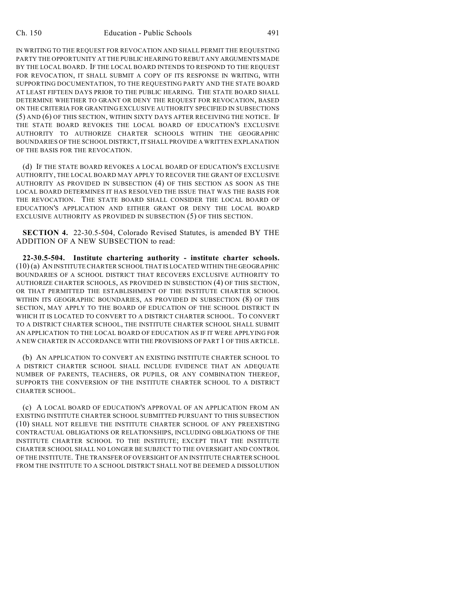IN WRITING TO THE REQUEST FOR REVOCATION AND SHALL PERMIT THE REQUESTING PARTY THE OPPORTUNITY AT THE PUBLIC HEARING TO REBUT ANY ARGUMENTS MADE BY THE LOCAL BOARD. IF THE LOCAL BOARD INTENDS TO RESPOND TO THE REQUEST FOR REVOCATION, IT SHALL SUBMIT A COPY OF ITS RESPONSE IN WRITING, WITH SUPPORTING DOCUMENTATION, TO THE REQUESTING PARTY AND THE STATE BOARD AT LEAST FIFTEEN DAYS PRIOR TO THE PUBLIC HEARING. THE STATE BOARD SHALL DETERMINE WHETHER TO GRANT OR DENY THE REQUEST FOR REVOCATION, BASED ON THE CRITERIA FOR GRANTING EXCLUSIVE AUTHORITY SPECIFIED IN SUBSECTIONS (5) AND (6) OF THIS SECTION, WITHIN SIXTY DAYS AFTER RECEIVING THE NOTICE. IF THE STATE BOARD REVOKES THE LOCAL BOARD OF EDUCATION'S EXCLUSIVE AUTHORITY TO AUTHORIZE CHARTER SCHOOLS WITHIN THE GEOGRAPHIC BOUNDARIES OF THE SCHOOL DISTRICT, IT SHALL PROVIDE A WRITTEN EXPLANATION OF THE BASIS FOR THE REVOCATION.

(d) IF THE STATE BOARD REVOKES A LOCAL BOARD OF EDUCATION'S EXCLUSIVE AUTHORITY, THE LOCAL BOARD MAY APPLY TO RECOVER THE GRANT OF EXCLUSIVE AUTHORITY AS PROVIDED IN SUBSECTION (4) OF THIS SECTION AS SOON AS THE LOCAL BOARD DETERMINES IT HAS RESOLVED THE ISSUE THAT WAS THE BASIS FOR THE REVOCATION. THE STATE BOARD SHALL CONSIDER THE LOCAL BOARD OF EDUCATION'S APPLICATION AND EITHER GRANT OR DENY THE LOCAL BOARD EXCLUSIVE AUTHORITY AS PROVIDED IN SUBSECTION (5) OF THIS SECTION.

**SECTION 4.** 22-30.5-504, Colorado Revised Statutes, is amended BY THE ADDITION OF A NEW SUBSECTION to read:

**22-30.5-504. Institute chartering authority - institute charter schools.** (10) (a) AN INSTITUTE CHARTER SCHOOL THAT IS LOCATED WITHIN THE GEOGRAPHIC BOUNDARIES OF A SCHOOL DISTRICT THAT RECOVERS EXCLUSIVE AUTHORITY TO AUTHORIZE CHARTER SCHOOLS, AS PROVIDED IN SUBSECTION (4) OF THIS SECTION, OR THAT PERMITTED THE ESTABLISHMENT OF THE INSTITUTE CHARTER SCHOOL WITHIN ITS GEOGRAPHIC BOUNDARIES, AS PROVIDED IN SUBSECTION (8) OF THIS SECTION, MAY APPLY TO THE BOARD OF EDUCATION OF THE SCHOOL DISTRICT IN WHICH IT IS LOCATED TO CONVERT TO A DISTRICT CHARTER SCHOOL. TO CONVERT TO A DISTRICT CHARTER SCHOOL, THE INSTITUTE CHARTER SCHOOL SHALL SUBMIT AN APPLICATION TO THE LOCAL BOARD OF EDUCATION AS IF IT WERE APPLYING FOR A NEW CHARTER IN ACCORDANCE WITH THE PROVISIONS OF PART 1 OF THIS ARTICLE.

(b) AN APPLICATION TO CONVERT AN EXISTING INSTITUTE CHARTER SCHOOL TO A DISTRICT CHARTER SCHOOL SHALL INCLUDE EVIDENCE THAT AN ADEQUATE NUMBER OF PARENTS, TEACHERS, OR PUPILS, OR ANY COMBINATION THEREOF, SUPPORTS THE CONVERSION OF THE INSTITUTE CHARTER SCHOOL TO A DISTRICT CHARTER SCHOOL.

(c) A LOCAL BOARD OF EDUCATION'S APPROVAL OF AN APPLICATION FROM AN EXISTING INSTITUTE CHARTER SCHOOL SUBMITTED PURSUANT TO THIS SUBSECTION (10) SHALL NOT RELIEVE THE INSTITUTE CHARTER SCHOOL OF ANY PREEXISTING CONTRACTUAL OBLIGATIONS OR RELATIONSHIPS, INCLUDING OBLIGATIONS OF THE INSTITUTE CHARTER SCHOOL TO THE INSTITUTE; EXCEPT THAT THE INSTITUTE CHARTER SCHOOL SHALL NO LONGER BE SUBJECT TO THE OVERSIGHT AND CONTROL OF THE INSTITUTE. THE TRANSFER OF OVERSIGHT OF AN INSTITUTE CHARTER SCHOOL FROM THE INSTITUTE TO A SCHOOL DISTRICT SHALL NOT BE DEEMED A DISSOLUTION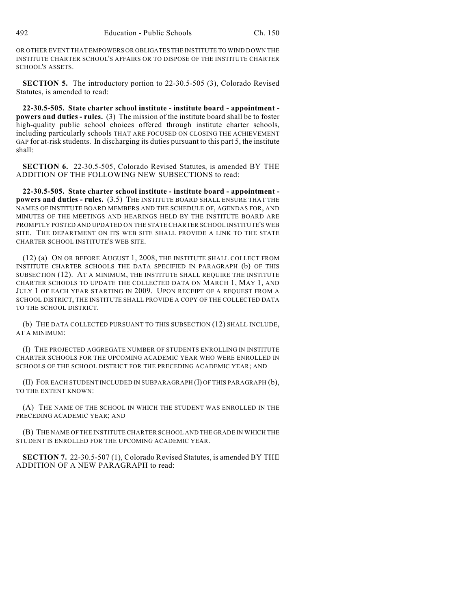OR OTHER EVENT THAT EMPOWERS OR OBLIGATES THE INSTITUTE TO WIND DOWN THE INSTITUTE CHARTER SCHOOL'S AFFAIRS OR TO DISPOSE OF THE INSTITUTE CHARTER SCHOOL'S ASSETS.

**SECTION 5.** The introductory portion to 22-30.5-505 (3), Colorado Revised Statutes, is amended to read:

**22-30.5-505. State charter school institute - institute board - appointment powers and duties - rules.** (3) The mission of the institute board shall be to foster high-quality public school choices offered through institute charter schools, including particularly schools THAT ARE FOCUSED ON CLOSING THE ACHIEVEMENT GAP for at-risk students. In discharging its duties pursuant to this part 5, the institute shall:

**SECTION 6.** 22-30.5-505, Colorado Revised Statutes, is amended BY THE ADDITION OF THE FOLLOWING NEW SUBSECTIONS to read:

**22-30.5-505. State charter school institute - institute board - appointment powers and duties - rules.** (3.5) THE INSTITUTE BOARD SHALL ENSURE THAT THE NAMES OF INSTITUTE BOARD MEMBERS AND THE SCHEDULE OF, AGENDAS FOR, AND MINUTES OF THE MEETINGS AND HEARINGS HELD BY THE INSTITUTE BOARD ARE PROMPTLY POSTED AND UPDATED ON THE STATE CHARTER SCHOOL INSTITUTE'S WEB SITE. THE DEPARTMENT ON ITS WEB SITE SHALL PROVIDE A LINK TO THE STATE CHARTER SCHOOL INSTITUTE'S WEB SITE.

(12) (a) ON OR BEFORE AUGUST 1, 2008, THE INSTITUTE SHALL COLLECT FROM INSTITUTE CHARTER SCHOOLS THE DATA SPECIFIED IN PARAGRAPH (b) OF THIS SUBSECTION (12). AT A MINIMUM, THE INSTITUTE SHALL REQUIRE THE INSTITUTE CHARTER SCHOOLS TO UPDATE THE COLLECTED DATA ON MARCH 1, MAY 1, AND JULY 1 OF EACH YEAR STARTING IN 2009. UPON RECEIPT OF A REQUEST FROM A SCHOOL DISTRICT, THE INSTITUTE SHALL PROVIDE A COPY OF THE COLLECTED DATA TO THE SCHOOL DISTRICT.

(b) THE DATA COLLECTED PURSUANT TO THIS SUBSECTION (12) SHALL INCLUDE, AT A MINIMUM:

(I) THE PROJECTED AGGREGATE NUMBER OF STUDENTS ENROLLING IN INSTITUTE CHARTER SCHOOLS FOR THE UPCOMING ACADEMIC YEAR WHO WERE ENROLLED IN SCHOOLS OF THE SCHOOL DISTRICT FOR THE PRECEDING ACADEMIC YEAR; AND

(II) FOR EACH STUDENT INCLUDED IN SUBPARAGRAPH (I) OF THIS PARAGRAPH (b), TO THE EXTENT KNOWN:

(A) THE NAME OF THE SCHOOL IN WHICH THE STUDENT WAS ENROLLED IN THE PRECEDING ACADEMIC YEAR; AND

(B) THE NAME OF THE INSTITUTE CHARTER SCHOOL AND THE GRADE IN WHICH THE STUDENT IS ENROLLED FOR THE UPCOMING ACADEMIC YEAR.

**SECTION 7.** 22-30.5-507 (1), Colorado Revised Statutes, is amended BY THE ADDITION OF A NEW PARAGRAPH to read: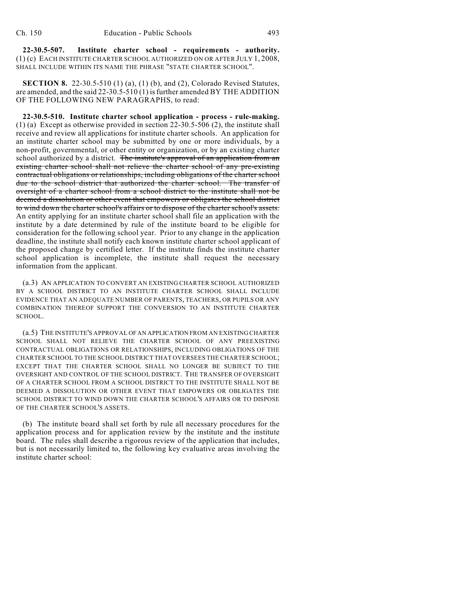**22-30.5-507. Institute charter school - requirements - authority.** (1) (c) EACH INSTITUTE CHARTER SCHOOL AUTHORIZED ON OR AFTER JULY 1, 2008, SHALL INCLUDE WITHIN ITS NAME THE PHRASE "STATE CHARTER SCHOOL".

**SECTION 8.** 22-30.5-510 (1) (a), (1) (b), and (2), Colorado Revised Statutes, are amended, and the said 22-30.5-510 (1) isfurther amended BY THE ADDITION OF THE FOLLOWING NEW PARAGRAPHS, to read:

**22-30.5-510. Institute charter school application - process - rule-making.** (1) (a) Except as otherwise provided in section 22-30.5-506 (2), the institute shall receive and review all applications for institute charter schools. An application for an institute charter school may be submitted by one or more individuals, by a non-profit, governmental, or other entity or organization, or by an existing charter school authorized by a district. The institute's approval of an application from an existing charter school shall not relieve the charter school of any pre-existing contractual obligations or relationships, including obligations of the charter school due to the school district that authorized the charter school. The transfer of oversight of a charter school from a school district to the institute shall not be deemed a dissolution or other event that empowers or obligates the school district to wind down the charter school's affairs or to dispose of the charter school's assets. An entity applying for an institute charter school shall file an application with the institute by a date determined by rule of the institute board to be eligible for consideration for the following school year. Prior to any change in the application deadline, the institute shall notify each known institute charter school applicant of the proposed change by certified letter. If the institute finds the institute charter school application is incomplete, the institute shall request the necessary information from the applicant.

(a.3) AN APPLICATION TO CONVERT AN EXISTING CHARTER SCHOOL AUTHORIZED BY A SCHOOL DISTRICT TO AN INSTITUTE CHARTER SCHOOL SHALL INCLUDE EVIDENCE THAT AN ADEQUATE NUMBER OF PARENTS, TEACHERS, OR PUPILS OR ANY COMBINATION THEREOF SUPPORT THE CONVERSION TO AN INSTITUTE CHARTER SCHOOL.

(a.5) THE INSTITUTE'S APPROVAL OF AN APPLICATION FROM AN EXISTING CHARTER SCHOOL SHALL NOT RELIEVE THE CHARTER SCHOOL OF ANY PREEXISTING CONTRACTUAL OBLIGATIONS OR RELATIONSHIPS, INCLUDING OBLIGATIONS OF THE CHARTER SCHOOL TO THE SCHOOL DISTRICT THAT OVERSEES THE CHARTER SCHOOL; EXCEPT THAT THE CHARTER SCHOOL SHALL NO LONGER BE SUBJECT TO THE OVERSIGHT AND CONTROL OF THE SCHOOL DISTRICT. THE TRANSFER OF OVERSIGHT OF A CHARTER SCHOOL FROM A SCHOOL DISTRICT TO THE INSTITUTE SHALL NOT BE DEEMED A DISSOLUTION OR OTHER EVENT THAT EMPOWERS OR OBLIGATES THE SCHOOL DISTRICT TO WIND DOWN THE CHARTER SCHOOL'S AFFAIRS OR TO DISPOSE OF THE CHARTER SCHOOL'S ASSETS.

(b) The institute board shall set forth by rule all necessary procedures for the application process and for application review by the institute and the institute board. The rules shall describe a rigorous review of the application that includes, but is not necessarily limited to, the following key evaluative areas involving the institute charter school: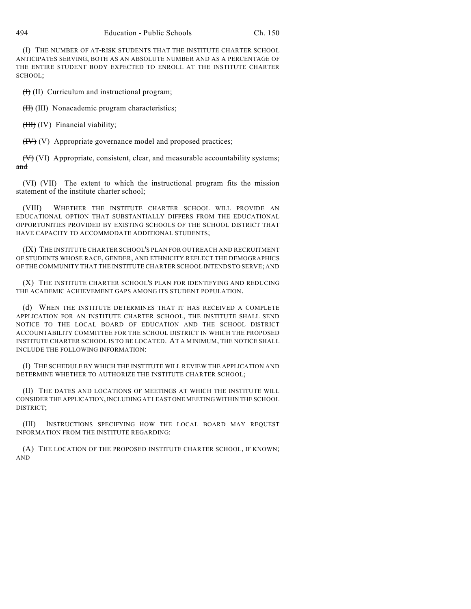(I) THE NUMBER OF AT-RISK STUDENTS THAT THE INSTITUTE CHARTER SCHOOL ANTICIPATES SERVING, BOTH AS AN ABSOLUTE NUMBER AND AS A PERCENTAGE OF THE ENTIRE STUDENT BODY EXPECTED TO ENROLL AT THE INSTITUTE CHARTER SCHOOL;

 $(H)$  (II) Curriculum and instructional program;

(II) (III) Nonacademic program characteristics;

(*III*) (IV) Financial viability;

 $(HV)$  (V) Appropriate governance model and proposed practices;

 $(V)$  (VI) Appropriate, consistent, clear, and measurable accountability systems; and

(VI) (VII) The extent to which the instructional program fits the mission statement of the institute charter school;

(VIII) WHETHER THE INSTITUTE CHARTER SCHOOL WILL PROVIDE AN EDUCATIONAL OPTION THAT SUBSTANTIALLY DIFFERS FROM THE EDUCATIONAL OPPORTUNITIES PROVIDED BY EXISTING SCHOOLS OF THE SCHOOL DISTRICT THAT HAVE CAPACITY TO ACCOMMODATE ADDITIONAL STUDENTS;

(IX) THE INSTITUTE CHARTER SCHOOL'S PLAN FOR OUTREACH AND RECRUITMENT OF STUDENTS WHOSE RACE, GENDER, AND ETHNICITY REFLECT THE DEMOGRAPHICS OF THE COMMUNITY THAT THE INSTITUTE CHARTER SCHOOL INTENDS TO SERVE; AND

(X) THE INSTITUTE CHARTER SCHOOL'S PLAN FOR IDENTIFYING AND REDUCING THE ACADEMIC ACHIEVEMENT GAPS AMONG ITS STUDENT POPULATION.

(d) WHEN THE INSTITUTE DETERMINES THAT IT HAS RECEIVED A COMPLETE APPLICATION FOR AN INSTITUTE CHARTER SCHOOL, THE INSTITUTE SHALL SEND NOTICE TO THE LOCAL BOARD OF EDUCATION AND THE SCHOOL DISTRICT ACCOUNTABILITY COMMITTEE FOR THE SCHOOL DISTRICT IN WHICH THE PROPOSED INSTITUTE CHARTER SCHOOL IS TO BE LOCATED. AT A MINIMUM, THE NOTICE SHALL INCLUDE THE FOLLOWING INFORMATION:

(I) THE SCHEDULE BY WHICH THE INSTITUTE WILL REVIEW THE APPLICATION AND DETERMINE WHETHER TO AUTHORIZE THE INSTITUTE CHARTER SCHOOL;

(II) THE DATES AND LOCATIONS OF MEETINGS AT WHICH THE INSTITUTE WILL CONSIDER THE APPLICATION, INCLUDING AT LEAST ONE MEETING WITHIN THE SCHOOL DISTRICT;

(III) INSTRUCTIONS SPECIFYING HOW THE LOCAL BOARD MAY REQUEST INFORMATION FROM THE INSTITUTE REGARDING:

(A) THE LOCATION OF THE PROPOSED INSTITUTE CHARTER SCHOOL, IF KNOWN; AND